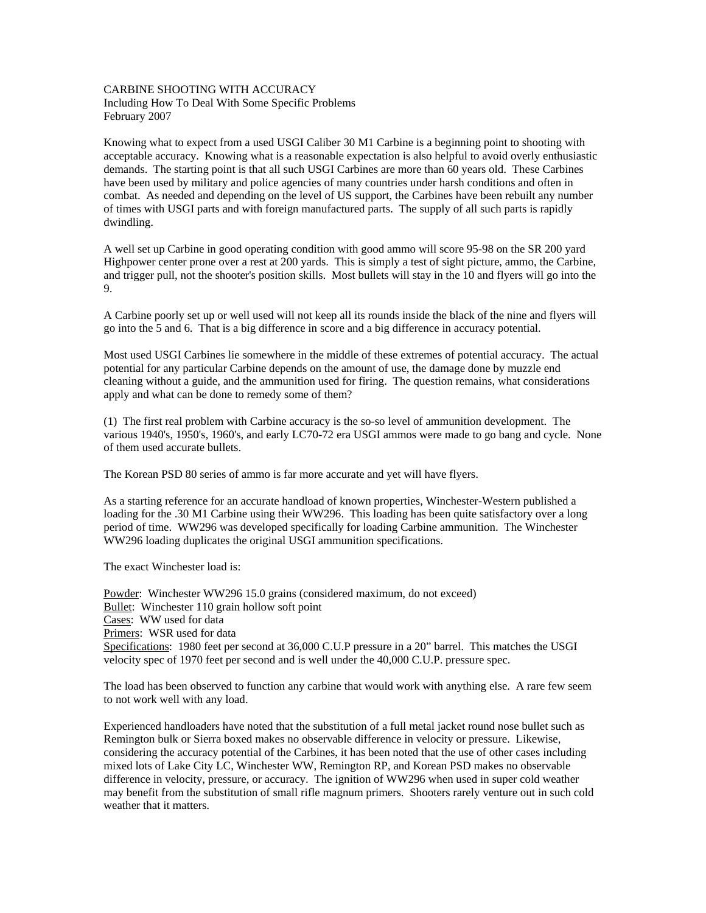## CARBINE SHOOTING WITH ACCURACY

Including How To Deal With Some Specific Problems February 2007

Knowing what to expect from a used USGI Caliber 30 M1 Carbine is a beginning point to shooting with acceptable accuracy. Knowing what is a reasonable expectation is also helpful to avoid overly enthusiastic demands. The starting point is that all such USGI Carbines are more than 60 years old. These Carbines have been used by military and police agencies of many countries under harsh conditions and often in combat. As needed and depending on the level of US support, the Carbines have been rebuilt any number of times with USGI parts and with foreign manufactured parts. The supply of all such parts is rapidly dwindling.

A well set up Carbine in good operating condition with good ammo will score 95-98 on the SR 200 yard Highpower center prone over a rest at 200 yards. This is simply a test of sight picture, ammo, the Carbine, and trigger pull, not the shooter's position skills. Most bullets will stay in the 10 and flyers will go into the 9.

A Carbine poorly set up or well used will not keep all its rounds inside the black of the nine and flyers will go into the 5 and 6. That is a big difference in score and a big difference in accuracy potential.

Most used USGI Carbines lie somewhere in the middle of these extremes of potential accuracy. The actual potential for any particular Carbine depends on the amount of use, the damage done by muzzle end cleaning without a guide, and the ammunition used for firing. The question remains, what considerations apply and what can be done to remedy some of them?

(1) The first real problem with Carbine accuracy is the so-so level of ammunition development. The various 1940's, 1950's, 1960's, and early LC70-72 era USGI ammos were made to go bang and cycle. None of them used accurate bullets.

The Korean PSD 80 series of ammo is far more accurate and yet will have flyers.

As a starting reference for an accurate handload of known properties, Winchester-Western published a loading for the .30 M1 Carbine using their WW296. This loading has been quite satisfactory over a long period of time. WW296 was developed specifically for loading Carbine ammunition. The Winchester WW296 loading duplicates the original USGI ammunition specifications.

The exact Winchester load is:

Powder: Winchester WW296 15.0 grains (considered maximum, do not exceed) Bullet: Winchester 110 grain hollow soft point Cases: WW used for data Primers: WSR used for data Specifications: 1980 feet per second at 36,000 C.U.P pressure in a 20" barrel. This matches the USGI velocity spec of 1970 feet per second and is well under the 40,000 C.U.P. pressure spec.

The load has been observed to function any carbine that would work with anything else. A rare few seem to not work well with any load.

Experienced handloaders have noted that the substitution of a full metal jacket round nose bullet such as Remington bulk or Sierra boxed makes no observable difference in velocity or pressure. Likewise, considering the accuracy potential of the Carbines, it has been noted that the use of other cases including mixed lots of Lake City LC, Winchester WW, Remington RP, and Korean PSD makes no observable difference in velocity, pressure, or accuracy. The ignition of WW296 when used in super cold weather may benefit from the substitution of small rifle magnum primers. Shooters rarely venture out in such cold weather that it matters.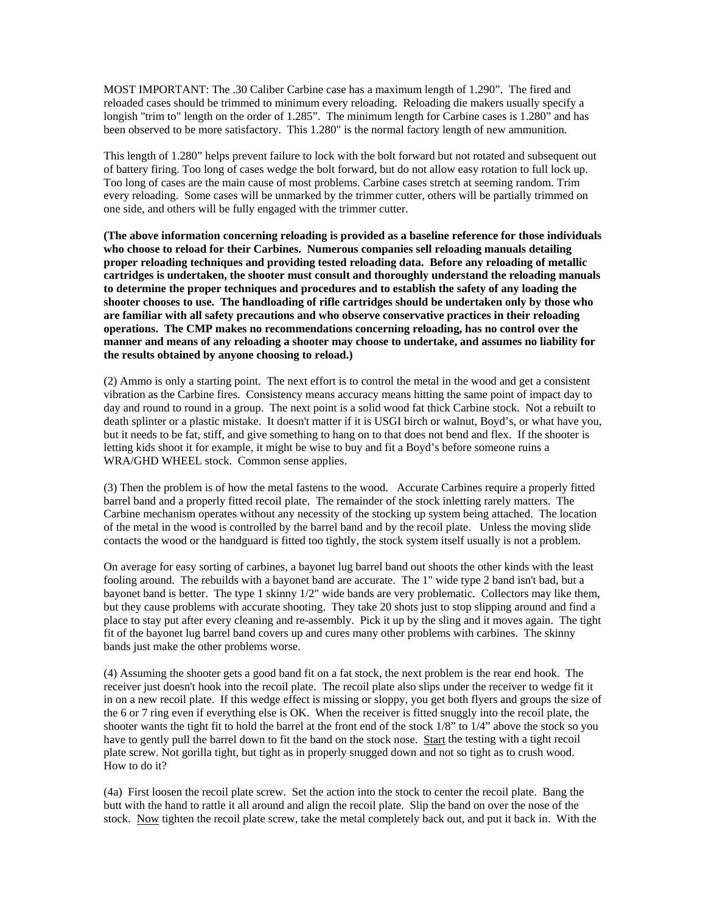MOST IMPORTANT: The .30 Caliber Carbine case has a maximum length of 1.290". The fired and reloaded cases should be trimmed to minimum every reloading. Reloading die makers usually specify a longish "trim to" length on the order of 1.285". The minimum length for Carbine cases is 1.280" and has been observed to be more satisfactory. This 1.280" is the normal factory length of new ammunition.

This length of 1.280" helps prevent failure to lock with the bolt forward but not rotated and subsequent out of battery firing. Too long of cases wedge the bolt forward, but do not allow easy rotation to full lock up. Too long of cases are the main cause of most problems. Carbine cases stretch at seeming random. Trim every reloading. Some cases will be unmarked by the trimmer cutter, others will be partially trimmed on one side, and others will be fully engaged with the trimmer cutter.

**(The above information concerning reloading is provided as a baseline reference for those individuals who choose to reload for their Carbines. Numerous companies sell reloading manuals detailing proper reloading techniques and providing tested reloading data. Before any reloading of metallic cartridges is undertaken, the shooter must consult and thoroughly understand the reloading manuals to determine the proper techniques and procedures and to establish the safety of any loading the shooter chooses to use. The handloading of rifle cartridges should be undertaken only by those who are familiar with all safety precautions and who observe conservative practices in their reloading operations. The CMP makes no recommendations concerning reloading, has no control over the manner and means of any reloading a shooter may choose to undertake, and assumes no liability for the results obtained by anyone choosing to reload.)** 

(2) Ammo is only a starting point. The next effort is to control the metal in the wood and get a consistent vibration as the Carbine fires. Consistency means accuracy means hitting the same point of impact day to day and round to round in a group. The next point is a solid wood fat thick Carbine stock. Not a rebuilt to death splinter or a plastic mistake. It doesn't matter if it is USGI birch or walnut, Boyd's, or what have you, but it needs to be fat, stiff, and give something to hang on to that does not bend and flex. If the shooter is letting kids shoot it for example, it might be wise to buy and fit a Boyd's before someone ruins a WRA/GHD WHEEL stock. Common sense applies.

(3) Then the problem is of how the metal fastens to the wood. Accurate Carbines require a properly fitted barrel band and a properly fitted recoil plate. The remainder of the stock inletting rarely matters. The Carbine mechanism operates without any necessity of the stocking up system being attached. The location of the metal in the wood is controlled by the barrel band and by the recoil plate. Unless the moving slide contacts the wood or the handguard is fitted too tightly, the stock system itself usually is not a problem.

On average for easy sorting of carbines, a bayonet lug barrel band out shoots the other kinds with the least fooling around. The rebuilds with a bayonet band are accurate. The 1" wide type 2 band isn't bad, but a bayonet band is better. The type 1 skinny 1/2" wide bands are very problematic. Collectors may like them, but they cause problems with accurate shooting. They take 20 shots just to stop slipping around and find a place to stay put after every cleaning and re-assembly. Pick it up by the sling and it moves again. The tight fit of the bayonet lug barrel band covers up and cures many other problems with carbines. The skinny bands just make the other problems worse.

(4) Assuming the shooter gets a good band fit on a fat stock, the next problem is the rear end hook. The receiver just doesn't hook into the recoil plate. The recoil plate also slips under the receiver to wedge fit it in on a new recoil plate. If this wedge effect is missing or sloppy, you get both flyers and groups the size of the 6 or 7 ring even if everything else is OK. When the receiver is fitted snuggly into the recoil plate, the shooter wants the tight fit to hold the barrel at the front end of the stock 1/8" to 1/4" above the stock so you have to gently pull the barrel down to fit the band on the stock nose. Start the testing with a tight recoil plate screw. Not gorilla tight, but tight as in properly snugged down and not so tight as to crush wood. How to do it?

(4a) First loosen the recoil plate screw. Set the action into the stock to center the recoil plate. Bang the butt with the hand to rattle it all around and align the recoil plate. Slip the band on over the nose of the stock. Now tighten the recoil plate screw, take the metal completely back out, and put it back in. With the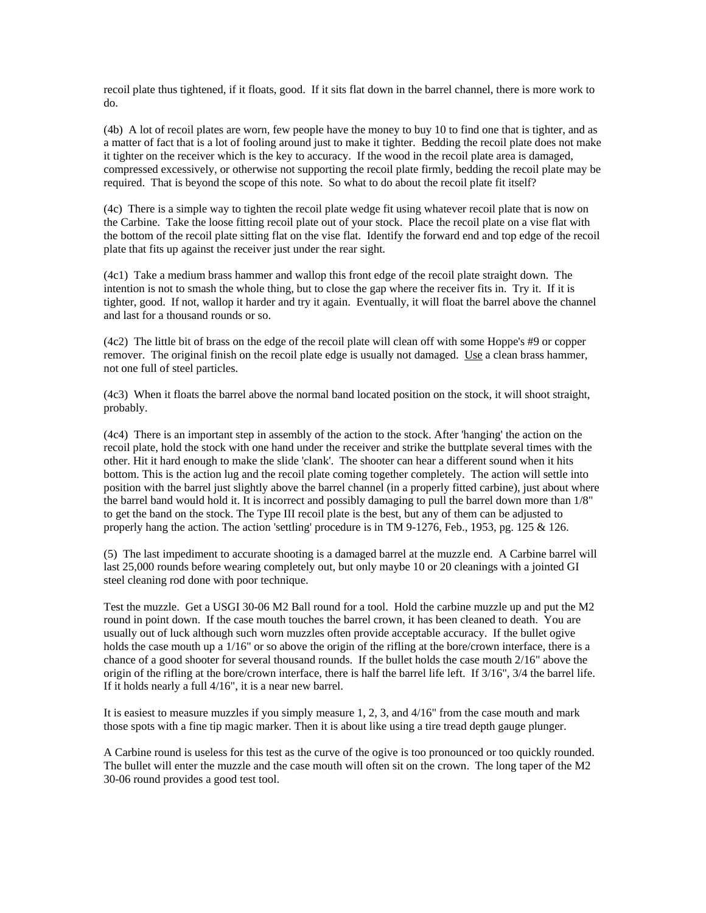recoil plate thus tightened, if it floats, good. If it sits flat down in the barrel channel, there is more work to do.

(4b) A lot of recoil plates are worn, few people have the money to buy 10 to find one that is tighter, and as a matter of fact that is a lot of fooling around just to make it tighter. Bedding the recoil plate does not make it tighter on the receiver which is the key to accuracy. If the wood in the recoil plate area is damaged, compressed excessively, or otherwise not supporting the recoil plate firmly, bedding the recoil plate may be required. That is beyond the scope of this note. So what to do about the recoil plate fit itself?

(4c) There is a simple way to tighten the recoil plate wedge fit using whatever recoil plate that is now on the Carbine. Take the loose fitting recoil plate out of your stock. Place the recoil plate on a vise flat with the bottom of the recoil plate sitting flat on the vise flat. Identify the forward end and top edge of the recoil plate that fits up against the receiver just under the rear sight.

(4c1) Take a medium brass hammer and wallop this front edge of the recoil plate straight down. The intention is not to smash the whole thing, but to close the gap where the receiver fits in. Try it. If it is tighter, good. If not, wallop it harder and try it again. Eventually, it will float the barrel above the channel and last for a thousand rounds or so.

(4c2) The little bit of brass on the edge of the recoil plate will clean off with some Hoppe's #9 or copper remover. The original finish on the recoil plate edge is usually not damaged. Use a clean brass hammer, not one full of steel particles.

(4c3) When it floats the barrel above the normal band located position on the stock, it will shoot straight, probably.

(4c4) There is an important step in assembly of the action to the stock. After 'hanging' the action on the recoil plate, hold the stock with one hand under the receiver and strike the buttplate several times with the other. Hit it hard enough to make the slide 'clank'. The shooter can hear a different sound when it hits bottom. This is the action lug and the recoil plate coming together completely. The action will settle into position with the barrel just slightly above the barrel channel (in a properly fitted carbine), just about where the barrel band would hold it. It is incorrect and possibly damaging to pull the barrel down more than 1/8" to get the band on the stock. The Type III recoil plate is the best, but any of them can be adjusted to properly hang the action. The action 'settling' procedure is in TM 9-1276, Feb., 1953, pg. 125 & 126.

(5) The last impediment to accurate shooting is a damaged barrel at the muzzle end. A Carbine barrel will last 25,000 rounds before wearing completely out, but only maybe 10 or 20 cleanings with a jointed GI steel cleaning rod done with poor technique.

Test the muzzle. Get a USGI 30-06 M2 Ball round for a tool. Hold the carbine muzzle up and put the M2 round in point down. If the case mouth touches the barrel crown, it has been cleaned to death. You are usually out of luck although such worn muzzles often provide acceptable accuracy. If the bullet ogive holds the case mouth up a  $1/16$ " or so above the origin of the rifling at the bore/crown interface, there is a chance of a good shooter for several thousand rounds. If the bullet holds the case mouth 2/16" above the origin of the rifling at the bore/crown interface, there is half the barrel life left. If 3/16", 3/4 the barrel life. If it holds nearly a full 4/16", it is a near new barrel.

It is easiest to measure muzzles if you simply measure 1, 2, 3, and 4/16" from the case mouth and mark those spots with a fine tip magic marker. Then it is about like using a tire tread depth gauge plunger.

A Carbine round is useless for this test as the curve of the ogive is too pronounced or too quickly rounded. The bullet will enter the muzzle and the case mouth will often sit on the crown. The long taper of the M2 30-06 round provides a good test tool.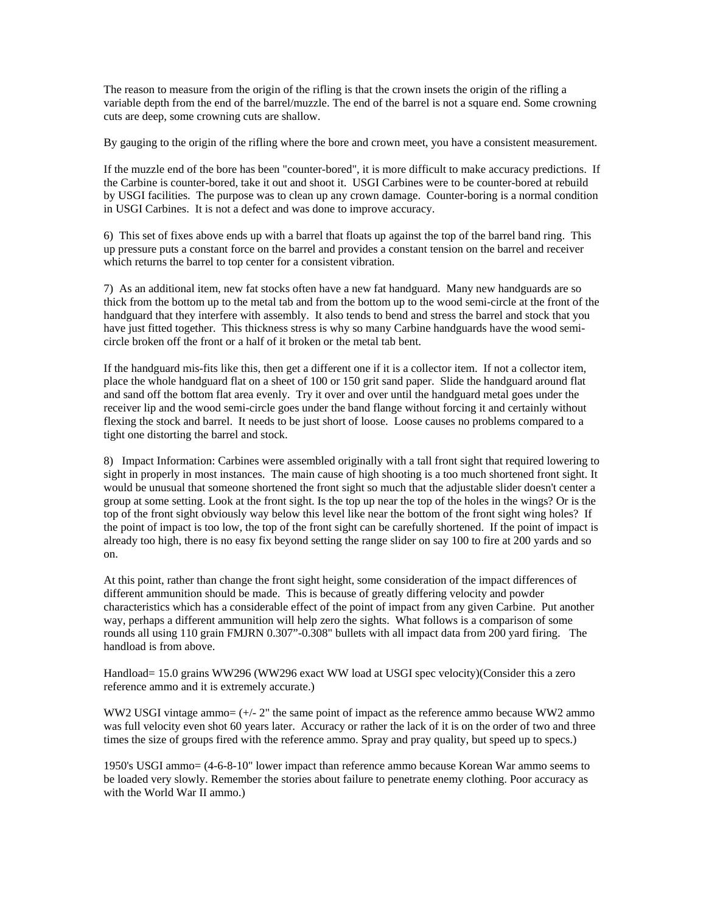The reason to measure from the origin of the rifling is that the crown insets the origin of the rifling a variable depth from the end of the barrel/muzzle. The end of the barrel is not a square end. Some crowning cuts are deep, some crowning cuts are shallow.

By gauging to the origin of the rifling where the bore and crown meet, you have a consistent measurement.

If the muzzle end of the bore has been "counter-bored", it is more difficult to make accuracy predictions. If the Carbine is counter-bored, take it out and shoot it. USGI Carbines were to be counter-bored at rebuild by USGI facilities. The purpose was to clean up any crown damage. Counter-boring is a normal condition in USGI Carbines. It is not a defect and was done to improve accuracy.

6) This set of fixes above ends up with a barrel that floats up against the top of the barrel band ring. This up pressure puts a constant force on the barrel and provides a constant tension on the barrel and receiver which returns the barrel to top center for a consistent vibration.

7) As an additional item, new fat stocks often have a new fat handguard. Many new handguards are so thick from the bottom up to the metal tab and from the bottom up to the wood semi-circle at the front of the handguard that they interfere with assembly. It also tends to bend and stress the barrel and stock that you have just fitted together. This thickness stress is why so many Carbine handguards have the wood semicircle broken off the front or a half of it broken or the metal tab bent.

If the handguard mis-fits like this, then get a different one if it is a collector item. If not a collector item, place the whole handguard flat on a sheet of 100 or 150 grit sand paper. Slide the handguard around flat and sand off the bottom flat area evenly. Try it over and over until the handguard metal goes under the receiver lip and the wood semi-circle goes under the band flange without forcing it and certainly without flexing the stock and barrel. It needs to be just short of loose. Loose causes no problems compared to a tight one distorting the barrel and stock.

8) Impact Information: Carbines were assembled originally with a tall front sight that required lowering to sight in properly in most instances. The main cause of high shooting is a too much shortened front sight. It would be unusual that someone shortened the front sight so much that the adjustable slider doesn't center a group at some setting. Look at the front sight. Is the top up near the top of the holes in the wings? Or is the top of the front sight obviously way below this level like near the bottom of the front sight wing holes? If the point of impact is too low, the top of the front sight can be carefully shortened. If the point of impact is already too high, there is no easy fix beyond setting the range slider on say 100 to fire at 200 yards and so on.

At this point, rather than change the front sight height, some consideration of the impact differences of different ammunition should be made. This is because of greatly differing velocity and powder characteristics which has a considerable effect of the point of impact from any given Carbine. Put another way, perhaps a different ammunition will help zero the sights. What follows is a comparison of some rounds all using 110 grain FMJRN 0.307"-0.308" bullets with all impact data from 200 yard firing. The handload is from above.

Handload= 15.0 grains WW296 (WW296 exact WW load at USGI spec velocity)(Consider this a zero reference ammo and it is extremely accurate.)

WW2 USGI vintage ammo=  $(+/- 2"$  the same point of impact as the reference ammo because WW2 ammo was full velocity even shot 60 years later. Accuracy or rather the lack of it is on the order of two and three times the size of groups fired with the reference ammo. Spray and pray quality, but speed up to specs.)

1950's USGI ammo= (4-6-8-10" lower impact than reference ammo because Korean War ammo seems to be loaded very slowly. Remember the stories about failure to penetrate enemy clothing. Poor accuracy as with the World War II ammo.)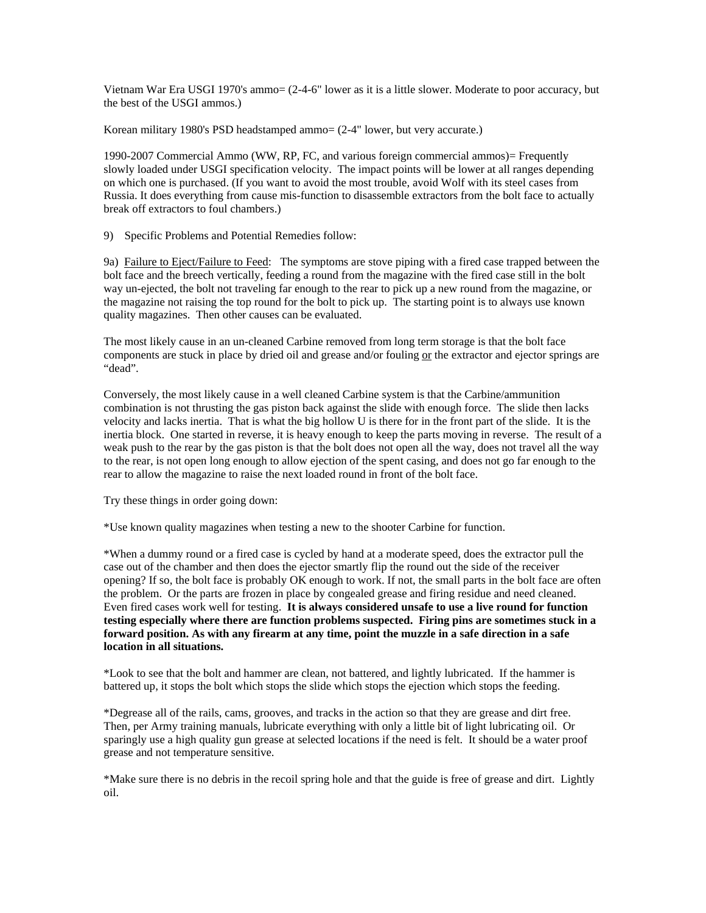Vietnam War Era USGI 1970's ammo= (2-4-6" lower as it is a little slower. Moderate to poor accuracy, but the best of the USGI ammos.)

Korean military 1980's PSD headstamped ammo=  $(2-4"$  lower, but very accurate.)

1990-2007 Commercial Ammo (WW, RP, FC, and various foreign commercial ammos)= Frequently slowly loaded under USGI specification velocity. The impact points will be lower at all ranges depending on which one is purchased. (If you want to avoid the most trouble, avoid Wolf with its steel cases from Russia. It does everything from cause mis-function to disassemble extractors from the bolt face to actually break off extractors to foul chambers.)

9) Specific Problems and Potential Remedies follow:

9a) Failure to Eject/Failure to Feed: The symptoms are stove piping with a fired case trapped between the bolt face and the breech vertically, feeding a round from the magazine with the fired case still in the bolt way un-ejected, the bolt not traveling far enough to the rear to pick up a new round from the magazine, or the magazine not raising the top round for the bolt to pick up. The starting point is to always use known quality magazines. Then other causes can be evaluated.

The most likely cause in an un-cleaned Carbine removed from long term storage is that the bolt face components are stuck in place by dried oil and grease and/or fouling or the extractor and ejector springs are "dead".

Conversely, the most likely cause in a well cleaned Carbine system is that the Carbine/ammunition combination is not thrusting the gas piston back against the slide with enough force. The slide then lacks velocity and lacks inertia. That is what the big hollow U is there for in the front part of the slide. It is the inertia block. One started in reverse, it is heavy enough to keep the parts moving in reverse. The result of a weak push to the rear by the gas piston is that the bolt does not open all the way, does not travel all the way to the rear, is not open long enough to allow ejection of the spent casing, and does not go far enough to the rear to allow the magazine to raise the next loaded round in front of the bolt face.

Try these things in order going down:

\*Use known quality magazines when testing a new to the shooter Carbine for function.

\*When a dummy round or a fired case is cycled by hand at a moderate speed, does the extractor pull the case out of the chamber and then does the ejector smartly flip the round out the side of the receiver opening? If so, the bolt face is probably OK enough to work. If not, the small parts in the bolt face are often the problem. Or the parts are frozen in place by congealed grease and firing residue and need cleaned. Even fired cases work well for testing. **It is always considered unsafe to use a live round for function testing especially where there are function problems suspected. Firing pins are sometimes stuck in a forward position. As with any firearm at any time, point the muzzle in a safe direction in a safe location in all situations.** 

\*Look to see that the bolt and hammer are clean, not battered, and lightly lubricated. If the hammer is battered up, it stops the bolt which stops the slide which stops the ejection which stops the feeding.

\*Degrease all of the rails, cams, grooves, and tracks in the action so that they are grease and dirt free. Then, per Army training manuals, lubricate everything with only a little bit of light lubricating oil. Or sparingly use a high quality gun grease at selected locations if the need is felt. It should be a water proof grease and not temperature sensitive.

\*Make sure there is no debris in the recoil spring hole and that the guide is free of grease and dirt. Lightly oil.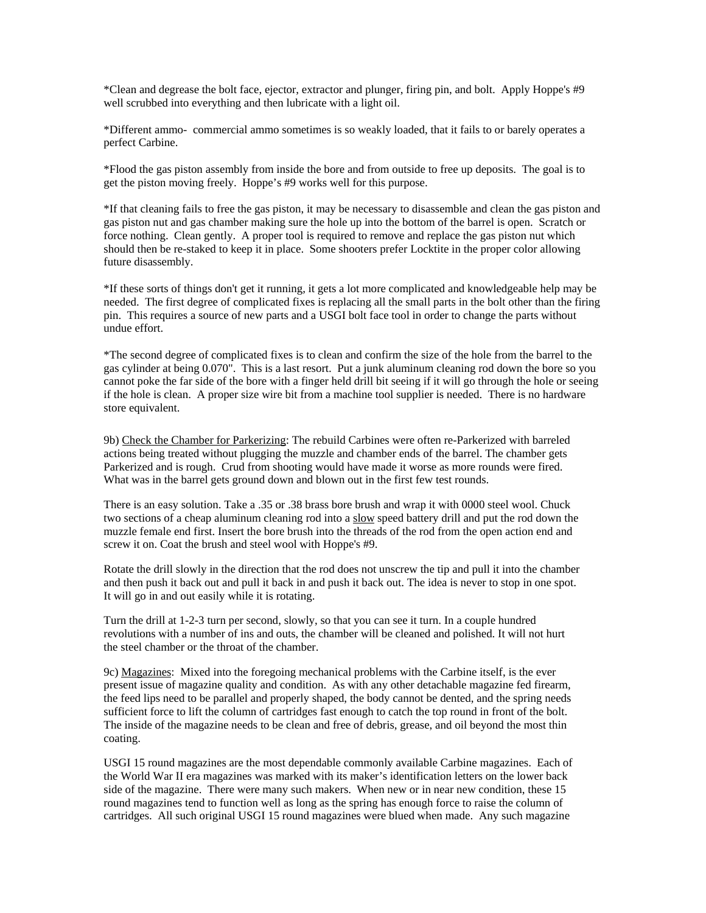\*Clean and degrease the bolt face, ejector, extractor and plunger, firing pin, and bolt. Apply Hoppe's #9 well scrubbed into everything and then lubricate with a light oil.

\*Different ammo- commercial ammo sometimes is so weakly loaded, that it fails to or barely operates a perfect Carbine.

\*Flood the gas piston assembly from inside the bore and from outside to free up deposits. The goal is to get the piston moving freely. Hoppe's #9 works well for this purpose.

\*If that cleaning fails to free the gas piston, it may be necessary to disassemble and clean the gas piston and gas piston nut and gas chamber making sure the hole up into the bottom of the barrel is open. Scratch or force nothing. Clean gently. A proper tool is required to remove and replace the gas piston nut which should then be re-staked to keep it in place. Some shooters prefer Locktite in the proper color allowing future disassembly.

\*If these sorts of things don't get it running, it gets a lot more complicated and knowledgeable help may be needed. The first degree of complicated fixes is replacing all the small parts in the bolt other than the firing pin. This requires a source of new parts and a USGI bolt face tool in order to change the parts without undue effort.

\*The second degree of complicated fixes is to clean and confirm the size of the hole from the barrel to the gas cylinder at being 0.070". This is a last resort. Put a junk aluminum cleaning rod down the bore so you cannot poke the far side of the bore with a finger held drill bit seeing if it will go through the hole or seeing if the hole is clean. A proper size wire bit from a machine tool supplier is needed. There is no hardware store equivalent.

9b) Check the Chamber for Parkerizing: The rebuild Carbines were often re-Parkerized with barreled actions being treated without plugging the muzzle and chamber ends of the barrel. The chamber gets Parkerized and is rough. Crud from shooting would have made it worse as more rounds were fired. What was in the barrel gets ground down and blown out in the first few test rounds.

There is an easy solution. Take a .35 or .38 brass bore brush and wrap it with 0000 steel wool. Chuck two sections of a cheap aluminum cleaning rod into a slow speed battery drill and put the rod down the muzzle female end first. Insert the bore brush into the threads of the rod from the open action end and screw it on. Coat the brush and steel wool with Hoppe's #9.

Rotate the drill slowly in the direction that the rod does not unscrew the tip and pull it into the chamber and then push it back out and pull it back in and push it back out. The idea is never to stop in one spot. It will go in and out easily while it is rotating.

Turn the drill at 1-2-3 turn per second, slowly, so that you can see it turn. In a couple hundred revolutions with a number of ins and outs, the chamber will be cleaned and polished. It will not hurt the steel chamber or the throat of the chamber.

9c) Magazines: Mixed into the foregoing mechanical problems with the Carbine itself, is the ever present issue of magazine quality and condition. As with any other detachable magazine fed firearm, the feed lips need to be parallel and properly shaped, the body cannot be dented, and the spring needs sufficient force to lift the column of cartridges fast enough to catch the top round in front of the bolt. The inside of the magazine needs to be clean and free of debris, grease, and oil beyond the most thin coating.

USGI 15 round magazines are the most dependable commonly available Carbine magazines. Each of the World War II era magazines was marked with its maker's identification letters on the lower back side of the magazine. There were many such makers. When new or in near new condition, these 15 round magazines tend to function well as long as the spring has enough force to raise the column of cartridges. All such original USGI 15 round magazines were blued when made. Any such magazine